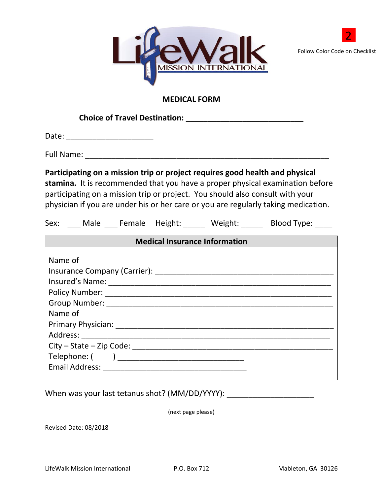



## **MEDICAL FORM**

**Choice of Travel Destination: \_\_\_\_\_\_\_\_\_\_\_\_\_\_\_\_\_\_\_\_\_\_\_\_\_\_\_**

Date: \_\_\_\_\_\_\_\_\_\_\_\_\_\_\_\_\_\_\_\_

Full Name: \_\_\_\_\_\_\_\_\_\_\_\_\_\_\_\_\_\_\_\_\_\_\_\_\_\_\_\_\_\_\_\_\_\_\_\_\_\_\_\_\_\_\_\_\_\_\_\_\_\_\_\_\_\_\_\_

**Participating on a mission trip or project requires good health and physical** 

**stamina.** It is recommended that you have a proper physical examination before participating on a mission trip or project. You should also consult with your physician if you are under his or her care or you are regularly taking medication.

| Sex: | Male |  | Female Height: | Weight: | Blood Type: |
|------|------|--|----------------|---------|-------------|
|------|------|--|----------------|---------|-------------|

When was your last tetanus shot? (MM/DD/YYYY): \_\_\_\_\_\_\_\_\_\_\_\_\_\_\_\_\_\_\_\_

(next page please)

Revised Date: 08/2018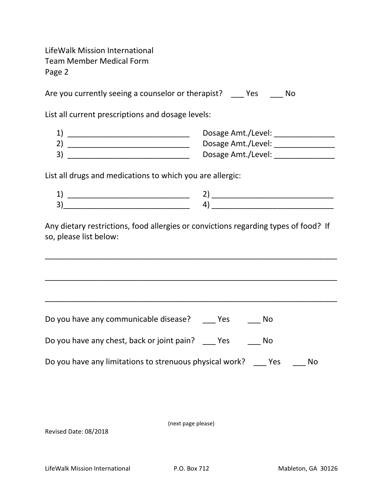LifeWalk Mission International Team Member Medical Form Page 2

Are you currently seeing a counselor or therapist? \_\_\_ Yes \_\_\_ No

List all current prescriptions and dosage levels:

| Dosage Amt./Level: |
|--------------------|
| Dosage Amt./Level: |
| Dosage Amt./Level: |

List all drugs and medications to which you are allergic:

| <b>.</b> |  |
|----------|--|
| ∽<br>ັ   |  |

Any dietary restrictions, food allergies or convictions regarding types of food? If so, please list below:

\_\_\_\_\_\_\_\_\_\_\_\_\_\_\_\_\_\_\_\_\_\_\_\_\_\_\_\_\_\_\_\_\_\_\_\_\_\_\_\_\_\_\_\_\_\_\_\_\_\_\_\_\_\_\_\_\_\_\_\_\_\_\_\_\_\_\_

\_\_\_\_\_\_\_\_\_\_\_\_\_\_\_\_\_\_\_\_\_\_\_\_\_\_\_\_\_\_\_\_\_\_\_\_\_\_\_\_\_\_\_\_\_\_\_\_\_\_\_\_\_\_\_\_\_\_\_\_\_\_\_\_\_\_\_

\_\_\_\_\_\_\_\_\_\_\_\_\_\_\_\_\_\_\_\_\_\_\_\_\_\_\_\_\_\_\_\_\_\_\_\_\_\_\_\_\_\_\_\_\_\_\_\_\_\_\_\_\_\_\_\_\_\_\_\_\_\_\_\_\_\_\_

| Do you have any communicable disease?      | Yes | Nο |  |
|--------------------------------------------|-----|----|--|
| Do you have any chest, back or joint pain? | Yes | N۵ |  |

| Do you have any limitations to strenuous physical work? | <b>Property</b> | - No |
|---------------------------------------------------------|-----------------|------|
|                                                         |                 |      |

(next page please)

Revised Date: 08/2018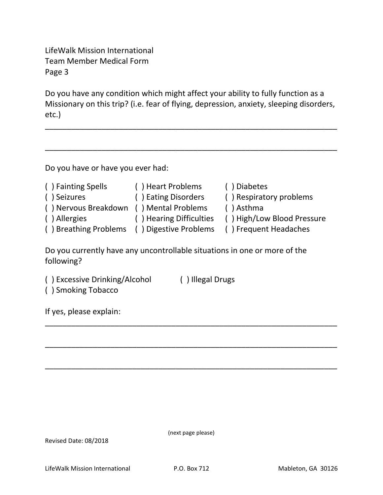LifeWalk Mission International Team Member Medical Form Page 3

Do you have any condition which might affect your ability to fully function as a Missionary on this trip? (i.e. fear of flying, depression, anxiety, sleeping disorders, etc.)

\_\_\_\_\_\_\_\_\_\_\_\_\_\_\_\_\_\_\_\_\_\_\_\_\_\_\_\_\_\_\_\_\_\_\_\_\_\_\_\_\_\_\_\_\_\_\_\_\_\_\_\_\_\_\_\_\_\_\_\_\_\_\_\_\_\_\_

\_\_\_\_\_\_\_\_\_\_\_\_\_\_\_\_\_\_\_\_\_\_\_\_\_\_\_\_\_\_\_\_\_\_\_\_\_\_\_\_\_\_\_\_\_\_\_\_\_\_\_\_\_\_\_\_\_\_\_\_\_\_\_\_\_\_\_

Do you have or have you ever had:

| () Fainting Spells                          | () Heart Problems       | () Diabetes                |
|---------------------------------------------|-------------------------|----------------------------|
| () Seizures                                 | () Eating Disorders     | () Respiratory problems    |
| () Nervous Breakdown () Mental Problems     |                         | $( )$ Asthma               |
| () Allergies                                | () Hearing Difficulties | () High/Low Blood Pressure |
| () Breathing Problems () Digestive Problems |                         | () Frequent Headaches      |

\_\_\_\_\_\_\_\_\_\_\_\_\_\_\_\_\_\_\_\_\_\_\_\_\_\_\_\_\_\_\_\_\_\_\_\_\_\_\_\_\_\_\_\_\_\_\_\_\_\_\_\_\_\_\_\_\_\_\_\_\_\_\_\_\_\_\_

\_\_\_\_\_\_\_\_\_\_\_\_\_\_\_\_\_\_\_\_\_\_\_\_\_\_\_\_\_\_\_\_\_\_\_\_\_\_\_\_\_\_\_\_\_\_\_\_\_\_\_\_\_\_\_\_\_\_\_\_\_\_\_\_\_\_\_

\_\_\_\_\_\_\_\_\_\_\_\_\_\_\_\_\_\_\_\_\_\_\_\_\_\_\_\_\_\_\_\_\_\_\_\_\_\_\_\_\_\_\_\_\_\_\_\_\_\_\_\_\_\_\_\_\_\_\_\_\_\_\_\_\_\_\_

Do you currently have any uncontrollable situations in one or more of the following?

- ( ) Excessive Drinking/Alcohol ( ) Illegal Drugs
- ( ) Smoking Tobacco

If yes, please explain:

(next page please)

Revised Date: 08/2018